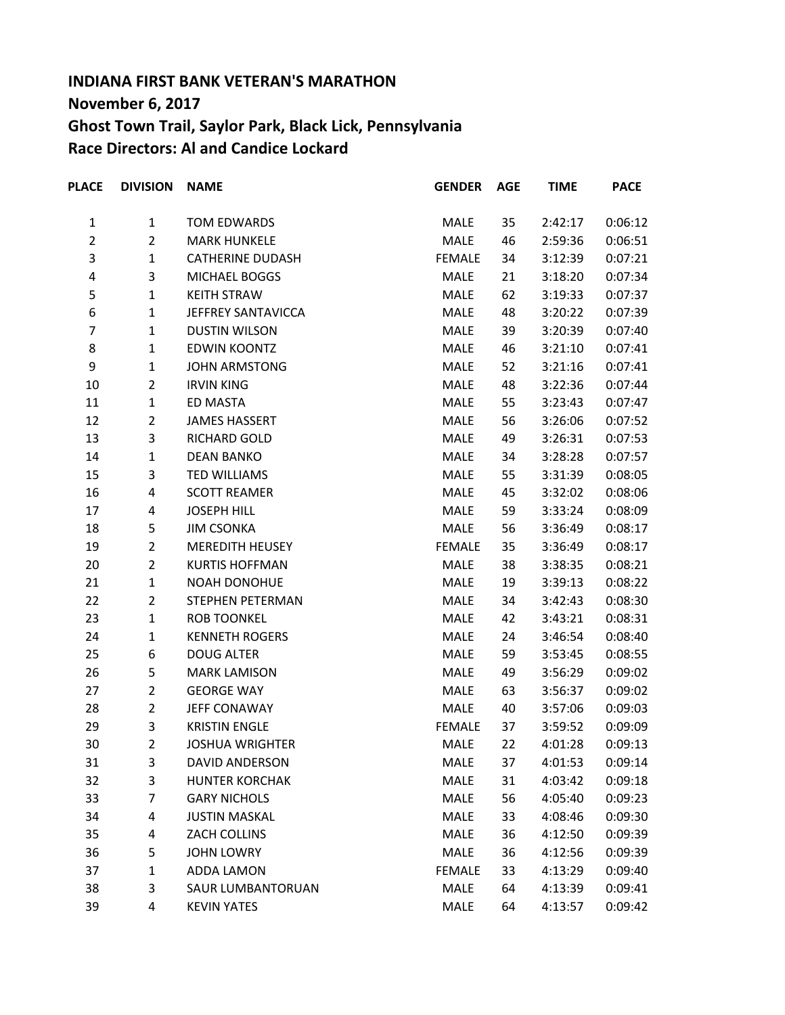## **INDIANA FIRST BANK VETERAN'S MARATHON November 6, 2017 Ghost Town Trail, Saylor Park, Black Lick, Pennsylvania Race Directors: Al and Candice Lockard**

| <b>PLACE</b>   | <b>DIVISION</b> | <b>NAME</b>              | <b>GENDER</b> | <b>AGE</b> | <b>TIME</b> | <b>PACE</b> |
|----------------|-----------------|--------------------------|---------------|------------|-------------|-------------|
| $\mathbf{1}$   | $\mathbf{1}$    | TOM EDWARDS              | MALE          | 35         | 2:42:17     | 0:06:12     |
| $\overline{2}$ | $\overline{2}$  | <b>MARK HUNKELE</b>      | MALE          | 46         | 2:59:36     | 0:06:51     |
| 3              | 1               | <b>CATHERINE DUDASH</b>  | <b>FEMALE</b> | 34         | 3:12:39     | 0:07:21     |
| 4              | 3               | MICHAEL BOGGS            | MALE          | 21         | 3:18:20     | 0:07:34     |
| 5              | $\mathbf{1}$    | <b>KEITH STRAW</b>       | MALE          | 62         | 3:19:33     | 0:07:37     |
| 6              | 1               | JEFFREY SANTAVICCA       | MALE          | 48         | 3:20:22     | 0:07:39     |
| 7              | $\mathbf{1}$    | <b>DUSTIN WILSON</b>     | MALE          | 39         | 3:20:39     | 0:07:40     |
| 8              | $\mathbf{1}$    | <b>EDWIN KOONTZ</b>      | MALE          | 46         | 3:21:10     | 0:07:41     |
| 9              | 1               | <b>JOHN ARMSTONG</b>     | MALE          | 52         | 3:21:16     | 0:07:41     |
| 10             | $\overline{2}$  | <b>IRVIN KING</b>        | MALE          | 48         | 3:22:36     | 0:07:44     |
| 11             | $\mathbf{1}$    | ED MASTA                 | MALE          | 55         | 3:23:43     | 0:07:47     |
| 12             | $\overline{2}$  | <b>JAMES HASSERT</b>     | MALE          | 56         | 3:26:06     | 0:07:52     |
| 13             | 3               | RICHARD GOLD             | MALE          | 49         | 3:26:31     | 0:07:53     |
| 14             | $\mathbf{1}$    | <b>DEAN BANKO</b>        | MALE          | 34         | 3:28:28     | 0:07:57     |
| 15             | 3               | <b>TED WILLIAMS</b>      | MALE          | 55         | 3:31:39     | 0:08:05     |
| 16             | 4               | <b>SCOTT REAMER</b>      | MALE          | 45         | 3:32:02     | 0:08:06     |
| 17             | 4               | <b>JOSEPH HILL</b>       | MALE          | 59         | 3:33:24     | 0:08:09     |
| 18             | 5               | <b>JIM CSONKA</b>        | MALE          | 56         | 3:36:49     | 0:08:17     |
| 19             | $\overline{2}$  | <b>MEREDITH HEUSEY</b>   | <b>FEMALE</b> | 35         | 3:36:49     | 0:08:17     |
| 20             | $\overline{2}$  | <b>KURTIS HOFFMAN</b>    | MALE          | 38         | 3:38:35     | 0:08:21     |
| 21             | $\mathbf{1}$    | <b>NOAH DONOHUE</b>      | MALE          | 19         | 3:39:13     | 0:08:22     |
| 22             | $\overline{2}$  | STEPHEN PETERMAN         | MALE          | 34         | 3:42:43     | 0:08:30     |
| 23             | $\mathbf{1}$    | <b>ROB TOONKEL</b>       | MALE          | 42         | 3:43:21     | 0:08:31     |
| 24             | $\mathbf{1}$    | <b>KENNETH ROGERS</b>    | MALE          | 24         | 3:46:54     | 0:08:40     |
| 25             | 6               | <b>DOUG ALTER</b>        | MALE          | 59         | 3:53:45     | 0:08:55     |
| 26             | 5               | <b>MARK LAMISON</b>      | MALE          | 49         | 3:56:29     | 0:09:02     |
| 27             | $\overline{2}$  | <b>GEORGE WAY</b>        | MALE          | 63         | 3:56:37     | 0:09:02     |
| 28             | $\overline{2}$  | JEFF CONAWAY             | <b>MALE</b>   | 40         | 3:57:06     | 0:09:03     |
| 29             | 3               | <b>KRISTIN ENGLE</b>     | <b>FEMALE</b> | 37         | 3:59:52     | 0:09:09     |
| 30             | $\mathcal{P}$   | <b>JOSHUA WRIGHTER</b>   | MALE          | 22         | 4:01:28     | 0:09:13     |
| 31             | 3               | DAVID ANDERSON           | <b>MALE</b>   | 37         | 4:01:53     | 0:09:14     |
| 32             | 3               | <b>HUNTER KORCHAK</b>    | MALE          | 31         | 4:03:42     | 0:09:18     |
| 33             | 7               | <b>GARY NICHOLS</b>      | MALE          | 56         | 4:05:40     | 0:09:23     |
| 34             | 4               | <b>JUSTIN MASKAL</b>     | MALE          | 33         | 4:08:46     | 0:09:30     |
| 35             | 4               | ZACH COLLINS             | MALE          | 36         | 4:12:50     | 0:09:39     |
| 36             | 5               | <b>JOHN LOWRY</b>        | MALE          | 36         | 4:12:56     | 0:09:39     |
| 37             | 1               | ADDA LAMON               | <b>FEMALE</b> | 33         | 4:13:29     | 0:09:40     |
| 38             | 3               | <b>SAUR LUMBANTORUAN</b> | MALE          | 64         | 4:13:39     | 0:09:41     |
| 39             | 4               | <b>KEVIN YATES</b>       | MALE          | 64         | 4:13:57     | 0:09:42     |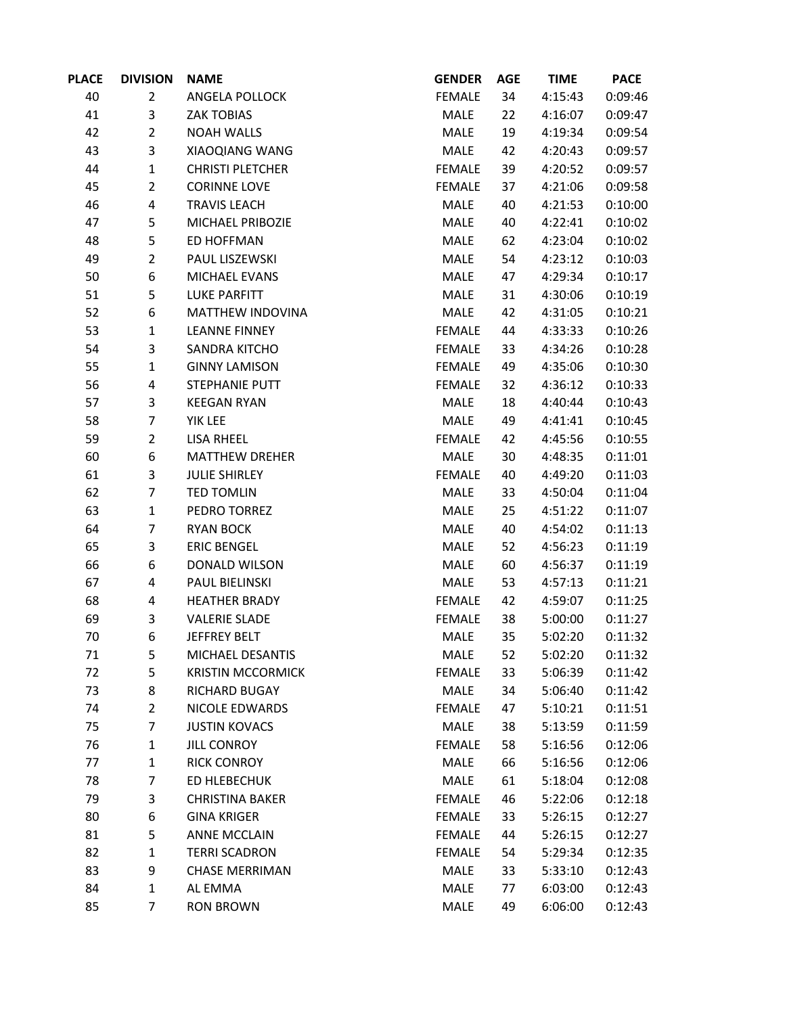| <b>PLACE</b> | <b>DIVISION</b> | <b>NAME</b>              | <b>GENDER</b> | <b>AGE</b> | <b>TIME</b> | <b>PACE</b> |
|--------------|-----------------|--------------------------|---------------|------------|-------------|-------------|
| 40           | $\overline{2}$  | ANGELA POLLOCK           | <b>FEMALE</b> | 34         | 4:15:43     | 0:09:46     |
| 41           | 3               | <b>ZAK TOBIAS</b>        | MALE          | 22         | 4:16:07     | 0:09:47     |
| 42           | $\overline{2}$  | <b>NOAH WALLS</b>        | MALE          | 19         | 4:19:34     | 0:09:54     |
| 43           | 3               | XIAOQIANG WANG           | MALE          | 42         | 4:20:43     | 0:09:57     |
| 44           | $\mathbf{1}$    | <b>CHRISTI PLETCHER</b>  | <b>FEMALE</b> | 39         | 4:20:52     | 0:09:57     |
| 45           | $\overline{2}$  | <b>CORINNE LOVE</b>      | <b>FEMALE</b> | 37         | 4:21:06     | 0:09:58     |
| 46           | 4               | <b>TRAVIS LEACH</b>      | MALE          | 40         | 4:21:53     | 0:10:00     |
| 47           | 5               | MICHAEL PRIBOZIE         | MALE          | 40         | 4:22:41     | 0:10:02     |
| 48           | 5               | ED HOFFMAN               | MALE          | 62         | 4:23:04     | 0:10:02     |
| 49           | $\overline{2}$  | PAUL LISZEWSKI           | MALE          | 54         | 4:23:12     | 0:10:03     |
| 50           | 6               | MICHAEL EVANS            | MALE          | 47         | 4:29:34     | 0:10:17     |
| 51           | 5               | <b>LUKE PARFITT</b>      | MALE          | 31         | 4:30:06     | 0:10:19     |
| 52           | 6               | MATTHEW INDOVINA         | MALE          | 42         | 4:31:05     | 0:10:21     |
| 53           | $\mathbf{1}$    | <b>LEANNE FINNEY</b>     | <b>FEMALE</b> | 44         | 4:33:33     | 0:10:26     |
| 54           | 3               | SANDRA KITCHO            | <b>FEMALE</b> | 33         | 4:34:26     | 0:10:28     |
| 55           | $\mathbf{1}$    | <b>GINNY LAMISON</b>     | <b>FEMALE</b> | 49         | 4:35:06     | 0:10:30     |
| 56           | 4               | STEPHANIE PUTT           | <b>FEMALE</b> | 32         | 4:36:12     | 0:10:33     |
| 57           | 3               | <b>KEEGAN RYAN</b>       | MALE          | 18         | 4:40:44     | 0:10:43     |
| 58           | 7               | YIK LEE                  | MALE          | 49         | 4:41:41     | 0:10:45     |
| 59           | $\overline{2}$  | LISA RHEEL               | <b>FEMALE</b> | 42         | 4:45:56     | 0:10:55     |
| 60           | 6               | <b>MATTHEW DREHER</b>    | MALE          | 30         | 4:48:35     | 0:11:01     |
| 61           | 3               | <b>JULIE SHIRLEY</b>     | <b>FEMALE</b> | 40         | 4:49:20     | 0:11:03     |
| 62           | $\overline{7}$  | <b>TED TOMLIN</b>        | MALE          | 33         | 4:50:04     | 0:11:04     |
| 63           | $\mathbf{1}$    | PEDRO TORREZ             | MALE          | 25         | 4:51:22     | 0:11:07     |
| 64           | 7               | <b>RYAN BOCK</b>         | MALE          | 40         | 4:54:02     | 0:11:13     |
| 65           | 3               | <b>ERIC BENGEL</b>       | MALE          | 52         | 4:56:23     | 0:11:19     |
| 66           | 6               | DONALD WILSON            | MALE          | 60         | 4:56:37     | 0:11:19     |
| 67           | 4               | PAUL BIELINSKI           | MALE          | 53         | 4:57:13     | 0:11:21     |
| 68           | 4               | <b>HEATHER BRADY</b>     | <b>FEMALE</b> | 42         | 4:59:07     | 0:11:25     |
| 69           | 3               | <b>VALERIE SLADE</b>     | <b>FEMALE</b> | 38         | 5:00:00     | 0:11:27     |
| 70           | 6               | JEFFREY BELT             | MALE          | 35         | 5:02:20     | 0:11:32     |
| 71           | 5               | MICHAEL DESANTIS         | MALE          | 52         | 5:02:20     | 0:11:32     |
| 72           | 5               | <b>KRISTIN MCCORMICK</b> | <b>FEMALE</b> | 33         | 5:06:39     | 0:11:42     |
| 73           | 8               | <b>RICHARD BUGAY</b>     | MALE          | 34         | 5:06:40     | 0:11:42     |
| 74           | $\overline{2}$  | NICOLE EDWARDS           | <b>FEMALE</b> | 47         | 5:10:21     | 0:11:51     |
| 75           | 7               | <b>JUSTIN KOVACS</b>     | MALE          | 38         | 5:13:59     | 0:11:59     |
| 76           | $\mathbf{1}$    | <b>JILL CONROY</b>       | <b>FEMALE</b> | 58         | 5:16:56     | 0:12:06     |
| 77           | $\mathbf{1}$    | <b>RICK CONROY</b>       | <b>MALE</b>   | 66         | 5:16:56     | 0:12:06     |
| 78           | 7               | ED HLEBECHUK             | <b>MALE</b>   | 61         | 5:18:04     | 0:12:08     |
| 79           | 3               | <b>CHRISTINA BAKER</b>   | <b>FEMALE</b> | 46         | 5:22:06     | 0:12:18     |
| 80           | 6               | <b>GINA KRIGER</b>       | <b>FEMALE</b> | 33         | 5:26:15     | 0:12:27     |
| 81           | 5               | <b>ANNE MCCLAIN</b>      | <b>FEMALE</b> | 44         | 5:26:15     | 0:12:27     |
| 82           | $\mathbf{1}$    | <b>TERRI SCADRON</b>     | <b>FEMALE</b> | 54         | 5:29:34     | 0:12:35     |
| 83           | 9               | <b>CHASE MERRIMAN</b>    | MALE          | 33         | 5:33:10     | 0:12:43     |
| 84           | $\mathbf{1}$    | AL EMMA                  | MALE          | 77         | 6:03:00     | 0:12:43     |
| 85           | 7               | <b>RON BROWN</b>         | MALE          | 49         | 6:06:00     | 0:12:43     |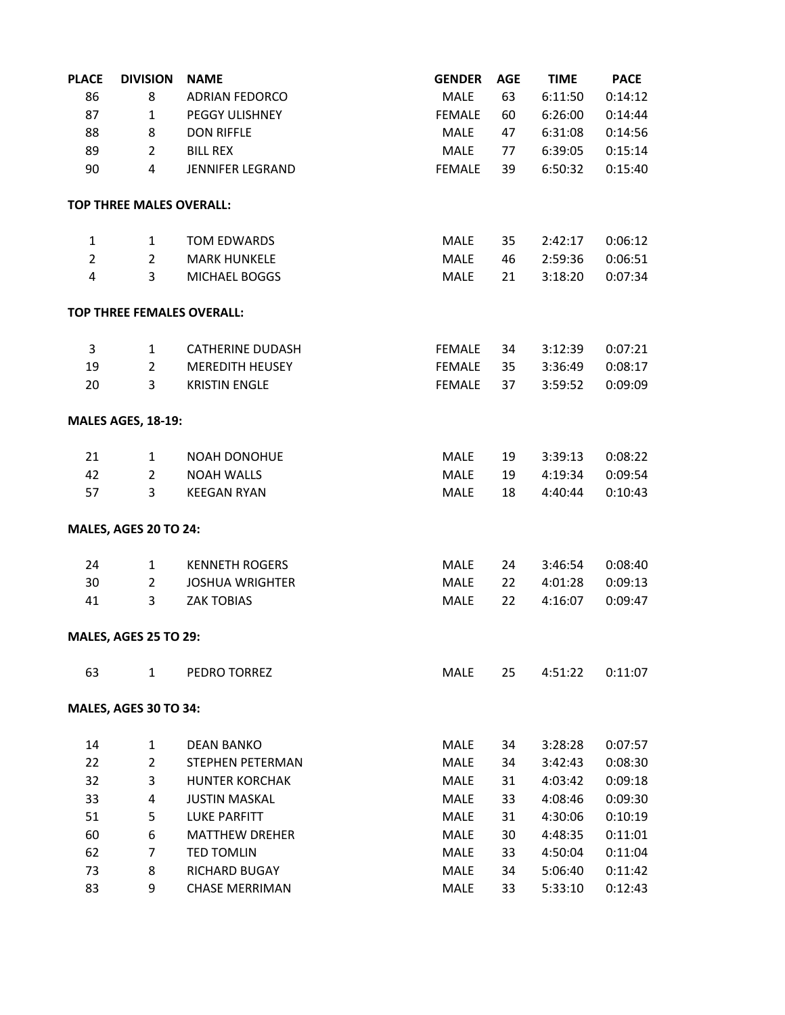| <b>PLACE</b>   | <b>DIVISION</b>                   | <b>NAME</b>             | <b>GENDER</b> | <b>AGE</b> | <b>TIME</b> | <b>PACE</b> |
|----------------|-----------------------------------|-------------------------|---------------|------------|-------------|-------------|
| 86             | 8                                 | <b>ADRIAN FEDORCO</b>   | MALE          | 63         | 6:11:50     | 0:14:12     |
| 87             | $\mathbf{1}$                      | PEGGY ULISHNEY          | <b>FEMALE</b> | 60         | 6:26:00     | 0:14:44     |
| 88             | 8                                 | <b>DON RIFFLE</b>       | MALE          | 47         | 6:31:08     | 0:14:56     |
| 89             | $\overline{2}$                    | <b>BILL REX</b>         | MALE          | 77         | 6:39:05     | 0:15:14     |
| 90             | $\overline{4}$                    | <b>JENNIFER LEGRAND</b> | <b>FEMALE</b> | 39         | 6:50:32     | 0:15:40     |
|                | TOP THREE MALES OVERALL:          |                         |               |            |             |             |
| 1              | $\mathbf{1}$                      | <b>TOM EDWARDS</b>      | MALE          | 35         | 2:42:17     | 0:06:12     |
| $\overline{2}$ | $\overline{2}$                    | <b>MARK HUNKELE</b>     | <b>MALE</b>   | 46         | 2:59:36     | 0:06:51     |
| $\overline{4}$ | 3                                 | MICHAEL BOGGS           | MALE          | 21         | 3:18:20     | 0:07:34     |
|                | <b>TOP THREE FEMALES OVERALL:</b> |                         |               |            |             |             |
| 3              | $\mathbf{1}$                      | <b>CATHERINE DUDASH</b> | <b>FEMALE</b> | 34         | 3:12:39     | 0:07:21     |
| 19             | $\overline{2}$                    | <b>MEREDITH HEUSEY</b>  | <b>FEMALE</b> | 35         | 3:36:49     | 0:08:17     |
| 20             | 3                                 | <b>KRISTIN ENGLE</b>    | <b>FEMALE</b> | 37         | 3:59:52     | 0:09:09     |
|                | <b>MALES AGES, 18-19:</b>         |                         |               |            |             |             |
| 21             | $\mathbf{1}$                      | <b>NOAH DONOHUE</b>     | <b>MALE</b>   | 19         | 3:39:13     | 0:08:22     |
| 42             | $\overline{2}$                    | <b>NOAH WALLS</b>       | MALE          | 19         | 4:19:34     | 0:09:54     |
| 57             | 3                                 | <b>KEEGAN RYAN</b>      | <b>MALE</b>   | 18         | 4:40:44     | 0:10:43     |
|                | <b>MALES, AGES 20 TO 24:</b>      |                         |               |            |             |             |
| 24             | $\mathbf{1}$                      | <b>KENNETH ROGERS</b>   | MALE          | 24         | 3:46:54     | 0:08:40     |
| 30             | $\overline{2}$                    | <b>JOSHUA WRIGHTER</b>  | MALE          | 22         | 4:01:28     | 0:09:13     |
| 41             | 3                                 | <b>ZAK TOBIAS</b>       | MALE          | 22         | 4:16:07     | 0:09:47     |
|                | <b>MALES, AGES 25 TO 29:</b>      |                         |               |            |             |             |
| 63             | $\mathbf{1}$                      | PEDRO TORREZ            | MALE          | 25         | 4:51:22     | 0:11:07     |
|                | <b>MALES, AGES 30 TO 34:</b>      |                         |               |            |             |             |
| 14             | $\mathbf{1}$                      | <b>DEAN BANKO</b>       | MALE          | 34         | 3:28:28     | 0:07:57     |
| 22             | $\overline{2}$                    | STEPHEN PETERMAN        | MALE          | 34         | 3:42:43     | 0:08:30     |
| 32             | 3                                 | <b>HUNTER KORCHAK</b>   | MALE          | 31         | 4:03:42     | 0:09:18     |
| 33             | 4                                 | <b>JUSTIN MASKAL</b>    | MALE          | 33         | 4:08:46     | 0:09:30     |
| 51             | 5                                 | <b>LUKE PARFITT</b>     | MALE          | 31         | 4:30:06     | 0:10:19     |
| 60             | 6                                 | <b>MATTHEW DREHER</b>   | <b>MALE</b>   | 30         | 4:48:35     | 0:11:01     |
| 62             | 7                                 | <b>TED TOMLIN</b>       | <b>MALE</b>   | 33         | 4:50:04     | 0:11:04     |
| 73             | 8                                 | <b>RICHARD BUGAY</b>    | MALE          | 34         | 5:06:40     | 0:11:42     |
| 83             | 9                                 | <b>CHASE MERRIMAN</b>   | MALE          | 33         | 5:33:10     | 0:12:43     |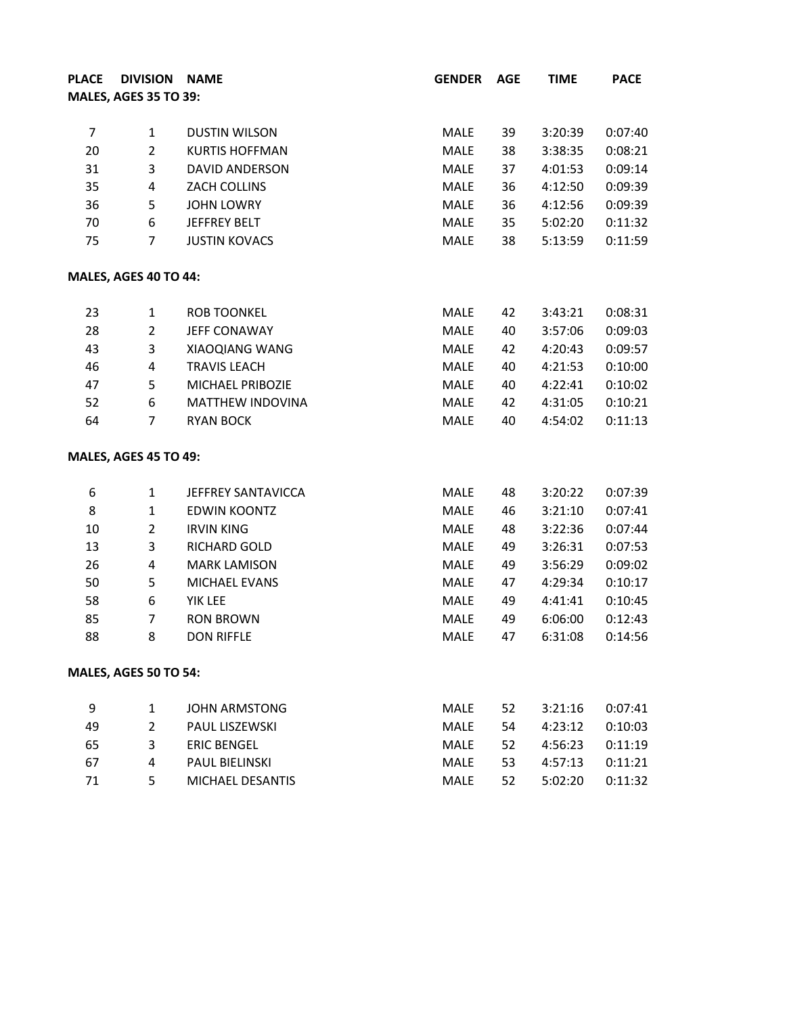| <b>PLACE</b>   | DIVISION NAME                |                       | <b>GENDER</b> | <b>AGE</b> | <b>TIME</b> | <b>PACE</b> |
|----------------|------------------------------|-----------------------|---------------|------------|-------------|-------------|
|                | <b>MALES, AGES 35 TO 39:</b> |                       |               |            |             |             |
|                |                              |                       |               |            |             |             |
| $\overline{7}$ | $\mathbf{1}$                 | <b>DUSTIN WILSON</b>  | MALE          | 39         | 3:20:39     | 0:07:40     |
| 20             | $\overline{2}$               | <b>KURTIS HOFFMAN</b> | MALE          | 38         | 3:38:35     | 0:08:21     |
| 31             | 3                            | <b>DAVID ANDERSON</b> | <b>MALE</b>   | 37         | 4:01:53     | 0:09:14     |
| 35             | $\overline{a}$               | ZACH COLLINS          | <b>MALE</b>   | 36         | 4:12:50     | 0:09:39     |
| 36             | 5                            | <b>JOHN LOWRY</b>     | MALE          | 36         | 4:12:56     | 0:09:39     |
| 70             | 6                            | JEFFREY BELT          | MALE          | 35         | 5:02:20     | 0:11:32     |
| 75             | $\overline{7}$               | <b>JUSTIN KOVACS</b>  | MALE          | 38         | 5:13:59     | 0:11:59     |
|                | MALES, AGES 40 TO 44:        |                       |               |            |             |             |
| 23             | $\mathbf{1}$                 | <b>ROB TOONKEL</b>    | MALE          | 42         | 3:43:21     | 0:08:31     |
| 28             | $\overline{2}$               | JEFF CONAWAY          | <b>MALE</b>   | 40         | 3:57:06     | 0:09:03     |
| 43             | 3                            | XIAOQIANG WANG        | <b>MALE</b>   | 42         | 4:20:43     | 0:09:57     |
| 46             | $\overline{4}$               | <b>TRAVIS LEACH</b>   | MALE          | 40         | 4:21:53     | 0:10:00     |
| 47             | 5                            | MICHAEL PRIBOZIE      | MALE          | 40         | 4:22:41     | 0:10:02     |
| 52             | 6                            | MATTHEW INDOVINA      | MALE          | 42         | 4:31:05     | 0:10:21     |
| 64             | 7                            | <b>RYAN BOCK</b>      | MALE          | 40         | 4:54:02     | 0:11:13     |
|                | <b>MALES, AGES 45 TO 49:</b> |                       |               |            |             |             |
| 6              | $\mathbf{1}$                 | JEFFREY SANTAVICCA    | MALE          | 48         | 3:20:22     | 0:07:39     |
| 8              | $\mathbf{1}$                 | <b>EDWIN KOONTZ</b>   | MALE          | 46         | 3:21:10     | 0:07:41     |
| 10             | $\overline{2}$               | <b>IRVIN KING</b>     | MALE          | 48         | 3:22:36     | 0:07:44     |
| 13             | 3                            | RICHARD GOLD          | MALE          | 49         | 3:26:31     | 0:07:53     |
| 26             | $\overline{4}$               | <b>MARK LAMISON</b>   | MALE          | 49         | 3:56:29     | 0:09:02     |
| 50             | 5                            | MICHAEL EVANS         | <b>MALE</b>   | 47         | 4:29:34     | 0:10:17     |
| 58             | 6                            | YIK LEE               | MALE          | 49         | 4:41:41     | 0:10:45     |
| 85             | $\overline{7}$               | <b>RON BROWN</b>      | <b>MALE</b>   | 49         | 6:06:00     | 0:12:43     |
| 88             | 8                            | <b>DON RIFFLE</b>     | MALE          | 47         | 6:31:08     | 0:14:56     |
|                | <b>MALES, AGES 50 TO 54:</b> |                       |               |            |             |             |
| 9              | $\mathbf{1}$                 | <b>JOHN ARMSTONG</b>  | MALE          | 52         | 3:21:16     | 0:07:41     |
| 49             | $\overline{2}$               | PAUL LISZEWSKI        | <b>MALE</b>   | 54         | 4:23:12     | 0:10:03     |
| 65             | 3                            | <b>ERIC BENGEL</b>    | MALE          | 52         | 4:56:23     | 0:11:19     |
| 67             | 4                            | PAUL BIELINSKI        | <b>MALE</b>   | 53         | 4:57:13     | 0:11:21     |
| 71             | 5                            | MICHAEL DESANTIS      | MALE          | 52         | 5:02:20     | 0:11:32     |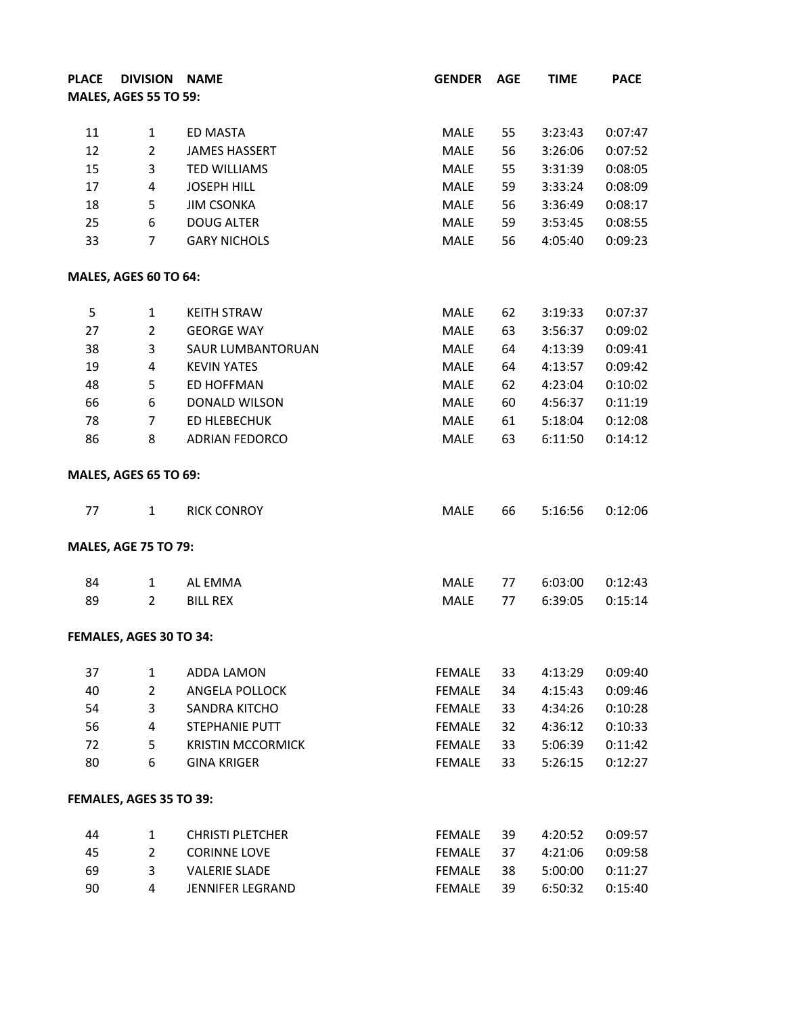| <b>PLACE</b> | DIVISION NAME                |                          | <b>GENDER</b> | <b>AGE</b> | <b>TIME</b> | <b>PACE</b> |
|--------------|------------------------------|--------------------------|---------------|------------|-------------|-------------|
|              | <b>MALES, AGES 55 TO 59:</b> |                          |               |            |             |             |
|              |                              |                          |               |            |             |             |
| 11           | $\mathbf{1}$                 | ED MASTA                 | MALE          | 55         | 3:23:43     | 0:07:47     |
| 12           | $\overline{2}$               | <b>JAMES HASSERT</b>     | <b>MALE</b>   | 56         | 3:26:06     | 0:07:52     |
| 15           | 3                            | <b>TED WILLIAMS</b>      | MALE          | 55         | 3:31:39     | 0:08:05     |
| 17           | $\overline{a}$               | <b>JOSEPH HILL</b>       | MALE          | 59         | 3:33:24     | 0:08:09     |
| 18           | 5                            | <b>JIM CSONKA</b>        | MALE          | 56         | 3:36:49     | 0:08:17     |
| 25           | 6                            | <b>DOUG ALTER</b>        | MALE          | 59         | 3:53:45     | 0:08:55     |
| 33           | 7                            | <b>GARY NICHOLS</b>      | MALE          | 56         | 4:05:40     | 0:09:23     |
|              | MALES, AGES 60 TO 64:        |                          |               |            |             |             |
| 5            | $\mathbf{1}$                 | <b>KEITH STRAW</b>       | MALE          | 62         | 3:19:33     | 0:07:37     |
| 27           | $\overline{2}$               | <b>GEORGE WAY</b>        | <b>MALE</b>   | 63         | 3:56:37     | 0:09:02     |
| 38           | 3                            | <b>SAUR LUMBANTORUAN</b> | <b>MALE</b>   | 64         | 4:13:39     | 0:09:41     |
| 19           | $\overline{a}$               | <b>KEVIN YATES</b>       | <b>MALE</b>   | 64         | 4:13:57     | 0:09:42     |
| 48           | 5                            | <b>ED HOFFMAN</b>        | <b>MALE</b>   | 62         | 4:23:04     | 0:10:02     |
| 66           | 6                            | DONALD WILSON            | MALE          | 60         | 4:56:37     | 0:11:19     |
| 78           | $\overline{7}$               | ED HLEBECHUK             | MALE          | 61         | 5:18:04     | 0:12:08     |
| 86           | 8                            | <b>ADRIAN FEDORCO</b>    | MALE          | 63         | 6:11:50     | 0:14:12     |
|              | <b>MALES, AGES 65 TO 69:</b> |                          |               |            |             |             |
| 77           | $\mathbf{1}$                 | <b>RICK CONROY</b>       | <b>MALE</b>   | 66         | 5:16:56     | 0:12:06     |
|              | <b>MALES, AGE 75 TO 79:</b>  |                          |               |            |             |             |
| 84           | $\mathbf{1}$                 | AL EMMA                  | MALE          | 77         | 6:03:00     | 0:12:43     |
| 89           | $\overline{2}$               | <b>BILL REX</b>          | MALE          | 77         | 6:39:05     | 0:15:14     |
|              | FEMALES, AGES 30 TO 34:      |                          |               |            |             |             |
| 37           | $\mathbf{1}$                 | ADDA LAMON               | <b>FEMALE</b> | 33         | 4:13:29     | 0:09:40     |
| 40           | $\overline{2}$               | ANGELA POLLOCK           | <b>FEMALE</b> | 34         | 4:15:43     | 0:09:46     |
| 54           | 3                            | <b>SANDRA KITCHO</b>     | <b>FEMALE</b> | 33         | 4:34:26     | 0:10:28     |
| 56           | 4                            | <b>STEPHANIE PUTT</b>    | <b>FEMALE</b> | 32         | 4:36:12     | 0:10:33     |
| 72           | 5                            | <b>KRISTIN MCCORMICK</b> | <b>FEMALE</b> | 33         | 5:06:39     | 0:11:42     |
| 80           | 6                            | <b>GINA KRIGER</b>       | <b>FEMALE</b> | 33         | 5:26:15     | 0:12:27     |
|              | FEMALES, AGES 35 TO 39:      |                          |               |            |             |             |
| 44           | $\mathbf{1}$                 | <b>CHRISTI PLETCHER</b>  | <b>FEMALE</b> | 39         | 4:20:52     | 0:09:57     |
| 45           | $\overline{2}$               | <b>CORINNE LOVE</b>      | <b>FEMALE</b> | 37         | 4:21:06     | 0:09:58     |
| 69           | 3                            | <b>VALERIE SLADE</b>     | <b>FEMALE</b> | 38         | 5:00:00     | 0:11:27     |
| 90           | 4                            | <b>JENNIFER LEGRAND</b>  | <b>FEMALE</b> | 39         | 6:50:32     | 0:15:40     |